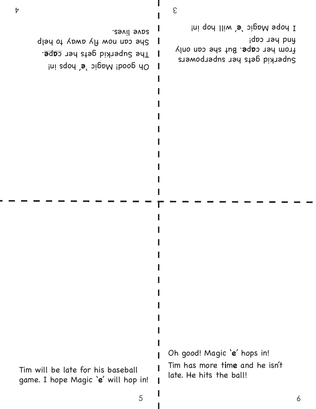Superkid gets her superpowers From her cape. But she can only Find her cap! I hope Magic 'e' will hop in!

Oh good! Magic 'e' on a lops in! The Superkid gets her cape. She can now *KH* wou ups ay savil svbs.

Tim will be late for his baseball game. I hope Magic '**e**' will hop in! Oh good! Magic '**e**' hops in! Tim has more t**i**m**e** and he isn't late. He hits the ball!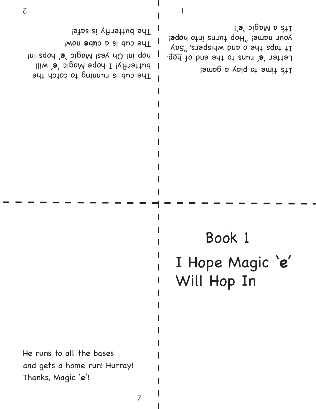It's time to play a game! Letter 'e' runs to the end of <u>hop</u>.  $\cos$  's adsid whispers,  $\frac{1}{2}$  by  $\frac{1}{2}$  $\frac{1}{2}$  into the sumple of  $\frac{1}{2}$  of  $\frac{1}{2}$   $\frac{1}{2}$   $\frac{1}{2}$   $\frac{1}{2}$   $\frac{1}{2}$   $\frac{1}{2}$   $\frac{1}{2}$   $\frac{1}{2}$   $\frac{1}{2}$   $\frac{1}{2}$   $\frac{1}{2}$   $\frac{1}{2}$   $\frac{1}{2}$   $\frac{1}{2}$   $\frac{1}{2}$   $\frac{1}{2}$   $\frac{1}{2}$   $\frac{1}{2}$  It's a Magic 'e'!

The cub is running to catch the butterfly! I hope Magic 'e' will Ini zqon yes! Nagic 'e' nops in! Ihe cub is a cabe nowl The butterfly is safe!

> I Hope Magic '**e**' Will Hop In Book 1

He runs to all the bases and gets a home run! Hurray! Thanks, Magic '**e**'!

7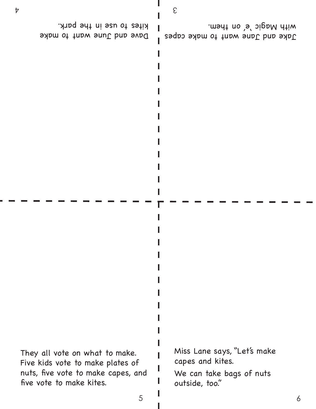They all vote on what to make. Five kids vote to make plates of nuts, five vote to make capes, and five vote to make kites.

Miss Lane says, "Let's make capes and kites.

We can take bags of nuts outside, too."

 $5 \quad 6$ 

Jake and Jane want to make capes with Magic 'e' on them. Dave and June want to make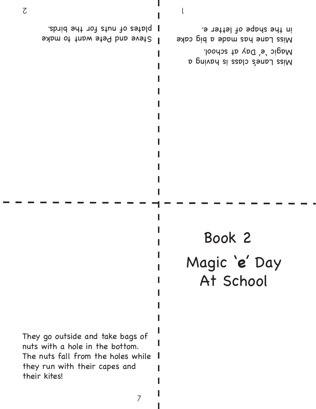Miss Lane's class is having a Magic 'e' Day at school. Miss Lane has made a big cake in the shape of letter e.

Steve and Pete want to make plates of nuts for the birds.

#### Magic '**e**' Day At School Book 2

They go outside and take bags of nuts with a hole in the bottom. The nuts fall from the holes while they run with their capes and their kites!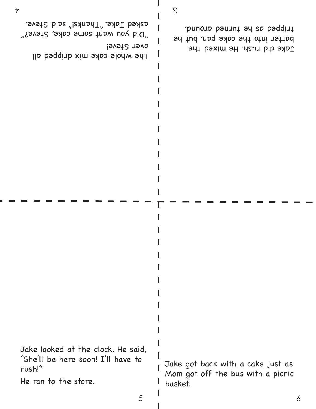"She'll be here soon! I'll have to rush!"

He ran to the store.

Jake got back with a cake just as Mom got off the bus with a picnic basket.

 $5 \quad 6$ 

Jake looked at the clock. He said,

Jake did rush. He mixed the batter into the cake pan, but he the partial sum sp. paddint

The whole cake mix dripped all over Steve!  $\%$ savat $S$  (sake) some cake, Steve?"

asked Jake. "Thanks!" said Steve.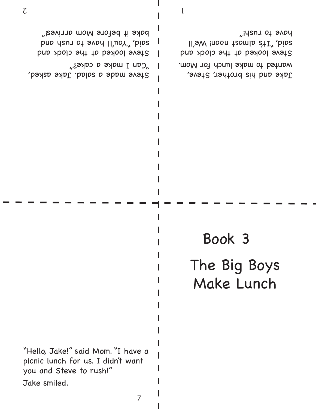"Hello, Jake!" said Mom. "I have a picnic lunch for us. I didn't want you and Steve to rush!" Jake smiled.

6 7

The Big Boys Make Lunch Book 3

Steve made a salad. Jake asked,  $C$ an I make a cake?"

Steve looked at the clock and bind, dance to rush and the proof. bake it before Mom arrives!"

Jake and his brother, Steve, wanted to make lunch for Mom. Steve looked at the clock and Il'sW !noon tzomla stI" biaz have to rush!"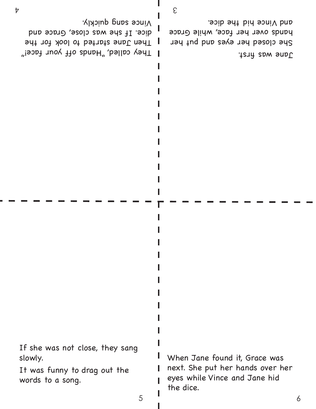Jane was first.

She closed her eyes and put her hands over her face, while Grace and Vince hid the dice.

They calleq, "Hands off your face!" Then Jane started to look for the dice. If she was close, Grace and Vince sang quickly.

If she was not close, they sang slowly.

It was funny to drag out the words to a song.

When Jane found it, Grace was next. She put her hands over her eyes while Vince and Jane hid the dice.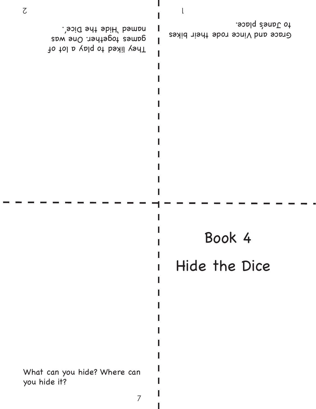Grace and Vince rode their bikes to Jane's place.

They liked to play a lot of games together. One was named 'Hide the Dice'.

## Hide the Dice Book 4

What can you hide? Where can you hide it?

6 7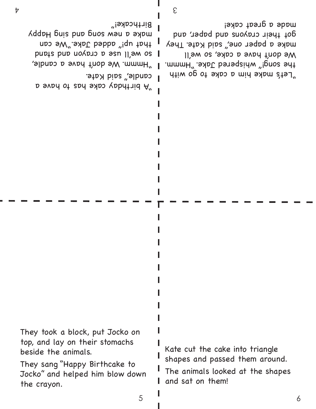top, and lay on their stomachs beside the animals. They sang "Happy Birthcake to

They took a block, put Jocko on

Jocko" and helped him blow down the crayon.

Kate cut the cake into triangle shapes and passed them around. The animals looked at the shapes and sat on them!

"A birthday cake has to have a candle," said Kate.

"Hmmm. We don't have a candle, so we'll be a crayon and stand that up!" added Jake. We can make a new song and sing Happy Birthcake!"

"Let's make him a cake to go with the song!" whispered Jake. "Hmmm. We don't have a cake, so we'll make a paper one," said Kate. They got their crayons and paper, and made a great cake!

 $5 \quad 6$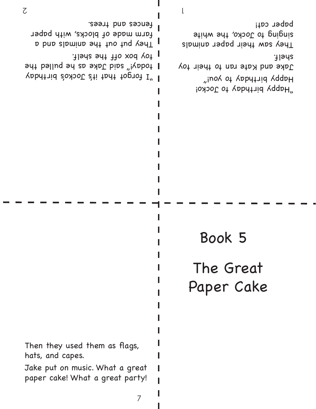Then they used them as flags, hats, and capes.

Jake put on music. What a great paper cake! What a great party!

6 7

The Great Paper Cake

Book 5

Yobdtrid doxool it that toprof  $I''$ I today!" said Jake as he pulled the toy box off the shelf.

They put out the animals and an farm made of blocks, with paper fences and trees.

L

"Happy birthday to Jocko! Hapy birthday to you!" Jake and Kate ran to their toy shelf.

They saw their paper animals singing to Jocko, the white paper cat!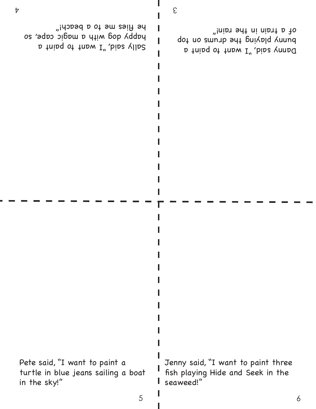D tuind ot tubw I'' bine yound dot no smund sut build druma of a train in the rain!"

Sally said, "I want to paint a happy dog with a magic cape, so he flies me to a beach!"

Pete said, "I want to paint a turtle in blue jeans sailing a boat in the sky!" Jenny said, "I want to paint three fish playing Hide and Seek in the seaweed!"

 $5 \quad 6$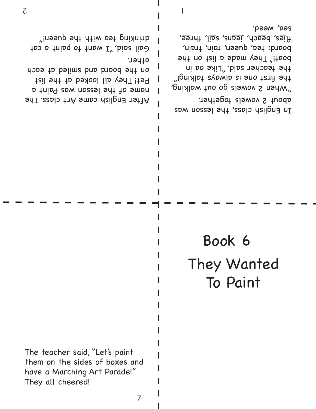The teacher said, "Let's paint them on the sides of boxes and have a Marching Art Parade!" They all cheered!

6 7

They Wanted To Paint Book 6

After English came Art class. The name of the lesson was Paint a Pet! They all looked at the list on the board and smiled at the other.

Gail said, "I want to paint a cat drinking tea with the queen!"

In English class, ship lesson was about 2 vowels together. "When 2 vowels go out walking, the fi rst one is always talking!" the teacher said."Like og in bodt!" They made a list no the board: tea, queen, rain, train, flies, beach, jeans, sail, three, sea, weed.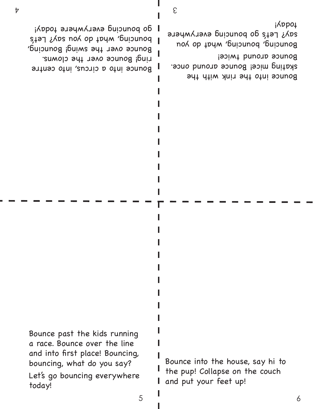skating mice! Bounce around once. Bounce around twice! Bouncing, bouncing, what do you i<sub>V</sub>pot

Bounce into the outly vith the

ands reta do ponuciud enechmuere

Bounce into a circus, into centre ring! Bounce over the clowns. Bounce over the swing! Bouncing, bouncing, what do you say? Let's go ponucing everywhere today!

Bounce past the kids running a race. Bounce over the line and into first place! Bouncing, bouncing, what do you say? Let's go bouncing everywhere today!

Bounce into the house, say hi to the pup! Collapse on the couch and put your feet up!

 $5 \quad 6$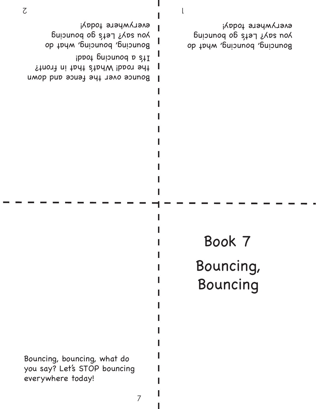Bouncing, bouncing, what do You say? Let's go bouncing everywhere today!

Bouncing, bouncing, what do you say? Let's go bouncing everywhere today!

It's a bouncing toad!

Bounce over the fence and down

the road! What's that in front?

Bouncing, Bouncing Book 7

Bouncing, bouncing, what do you say? Let's STOP bouncing everywhere today!

6 7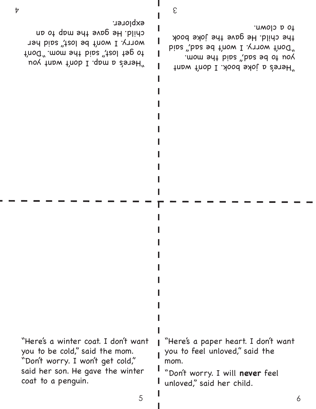"Here's a winter coat. I don't want you to be cold," said the mom. "Don't worry. I won't get cold," said her son. He gave the winter coat to a penguin.

"Here's a paper heart. I don't want you to feel unloved," said the mom.

"Don't worry. I will **never** feel unloved," said her child.

"Here's a map. I don't want you to get lost," said the mom. "Don't worry. I won't be lost," said her child. He gave the map to an explorer.

"Here's a joke book. I don't want you to be sad, sid the mom. "Don't worry. I won't be sad," said the child. He gave the joke book to a clown.

 $5 \quad 6$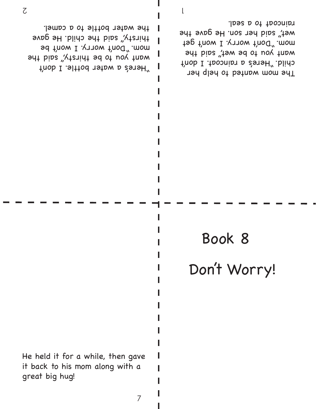He held it for a while, then gave it back to his mom along with a great big hug!

6 7

# Don't Worry!

Book 8

"Here's a water bottle. I don't want you to be thirsty," said the mom. "Don't worry. I won't be thirsty," said the child. He gave the water bottle to a camel.

The mom wanted to help her child. "Here's a raincoat. I don't want you to be wet, said the mom. "Don't worry. I won't get wet," said her son. He gave the raincoat to a seal.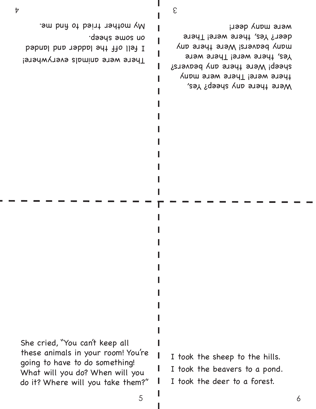Were there any sheep? Yes, there were! There were many sheep! Were there any beavers? Yes, there were! There were many beavers! Were there any deer? Yes, there were! There were many deer!

on some sheep. . In put tried to find me.

There were animals everywhere! I fell off the ladder and land land

She cried, "You can't keep all these animals in your room! You're going to have to do something! What will you do? When will you do it? Where will you take them?"

I took the sheep to the hills. I took the beavers to a pond. I took the deer to a forest.

 $5 \quad 6$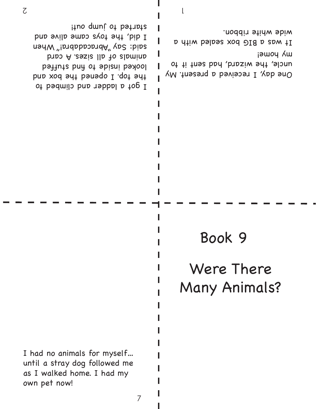I had no animals for myself… until a stray dog followed me as I walked home. I had my own pet now!

6 7

Were There Many Animals?

Book 9

I got a ladder and climbed to the top. I got and the box and looked inside to potthack to be animals of all sizes. A card said: Say "Abracadabra" When I did, the toys came alive and started to jump out!

One day, I received a present. My uncle, the wizard, had sent it to ismon yone!

It was a BIG box sealed with a wide white ribbon.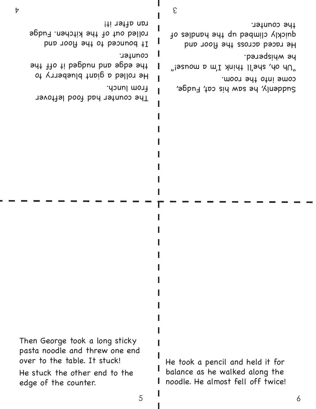Then George took a long sticky pasta noodle and threw one end over to the table. It stuck! He stuck the other end to the edge of the counter.

He took a pencil and held it for balance as he walked along the noodle. He almost fell off twice!

 $5 \quad 6$ 

The counter had food leftover from lunch.

He rolled a giant blueberry to shit the edge of the septions in the set the set of the set of the set of the set of the set of the set of the counter.

It bounced to the floor and rolled out of the kitchen. Fudge ran after it!

> Sudphy, you sid was sum this propping come into the room.

 $\mu_{\rm B}$  isshow b will duidthably in a limit  $\mu_{\rm B}$ he whispered.

He raced across the floor and quickly climbed up the handles of the counter.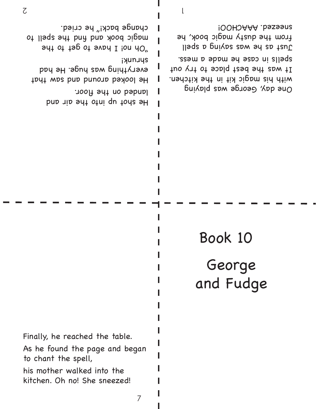As he found the page and began to chant the spell,

his mother walked into the kitchen. Oh no! She sneezed!

Finally, he reached the table.

George and Fudge

Book 10

bho no sut ofni qu tone sh landed on the floor. He looked around and saw that

everything was huge. He had shrunk!

 $ext{of the top of a point of the point.}$ ot llaqs and bud bind along signm change back!" he cried.

One day, George was playing with his magic kit in the kitchen. It was the best place to try out spells in case he made a mess. Just a polities as we shall from the dusty magic book, he sneezed. AAACHOO!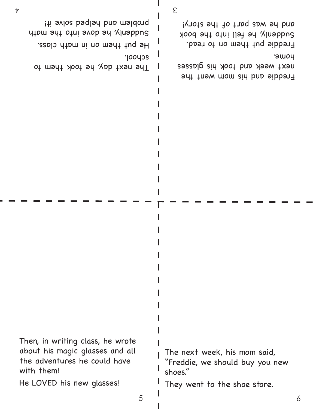Then, in writing class, he wrote about his magic glasses and all the adventures he could have with them!

He LOVED his new glasses!

The next week, his mom said, "Freddie, we should buy you new shoes."

They went to the shoe store.

 $5 \quad 6$ 

He put them on in math class. Suddenly, he over into the math problem and helped solve it!

The next day, he took them to

Freddie and his mom went the next week and took his glasses home.

Freddie put them on to read. Suddenly, he fell into the book and he was but yo the story!

school.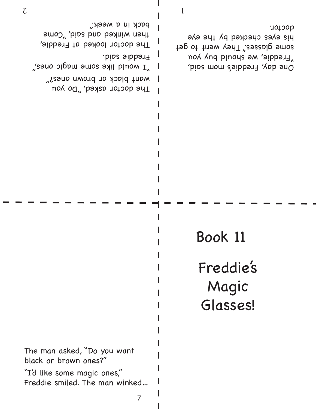black or brown ones?" "I'd like some magic ones," Freddie smiled. The man winked…

The man asked, "Do you want

7

Freddie's Magic Glasses!

Book 11

The doctor asked, "Do you want black or brown ones?"

Freddie said.

back in a week."

"I would like some magic ones,"

The doctor looked at Freddie, then winked and said, "Come

One day, Freddie's mom said, "Freddie, we should buy you some glasses." They went to get his eyes checked by the eye doctor.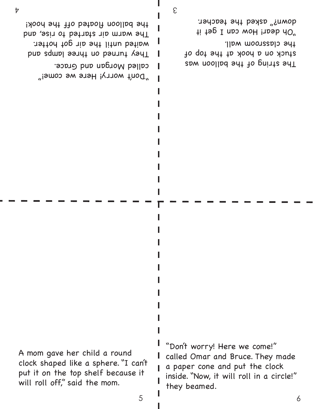A mom gave her child a round clock shaped like a sphere. "I can't put it on the top shelf because it will roll off," said the mom.

"Don't worry! Here we come!" called Omar and Bruce. They made a paper cone and put the clock inside. "Now, it will roll in a circle!" they beamed.

 $5 \quad 6$ 

"Don't worry! Here we come!" called Morgan and Grace.

They turned on the sound say waited until the air got hotter. The warm air started to rise, and the balloon floated off the hook!

The string of the balloon was stuck on a hook at the top of the classroom wall.

 $+$  1 tap I npo woth the do" down?" asked the teacher.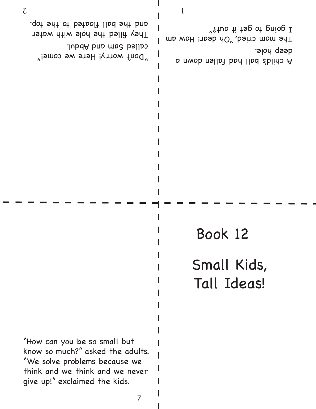"How can you be so small but know so much?" asked the adults. "We solve problems because we think and we think and we never give up!" exclaimed the kids.

7

Small Kids, Tall Ideas!

Book 12

A child's ball had fallen down a

I going to get it out?"

The mom cried, "Oh dear! How am

deep hole.

"Don't worry! Here we come!" called Sam and Abdul. They filled the hole with water

and the ball floated to the top.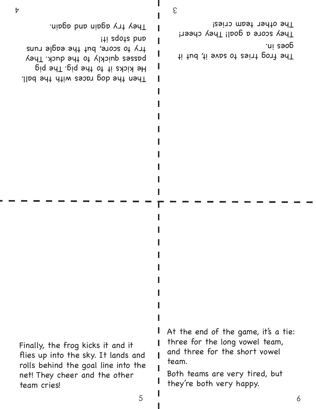passes duickly to the duck. They try to score, but the eagle runs iti sqote bno

He kicks it to the pig. The pig

Then the dog races with the ball.

They try again and again.

Finally, the frog kicks it and it flies up into the sky. It lands and rolls behind the goal line into the net! They cheer and the other team cries!

At the end of the game, it's a tie: three for the long vowel team, and three for the short vowel team.

Both teams are very tired, but they're both very happy.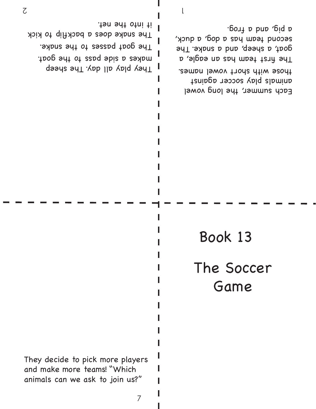They decide to pick more players and make more teams! "Which animals can we ask to join us?"

7

The Soccer

Book 13

Game

They all days and you day. makes a side pass of the goat. The goat passes to the snake. The snake does a backflip to kick it into the net.

Each summer, the long vowel animals play soccer against those with short vowel names. The first team has an eagle, a goat, a sheep, and a snake. The second team has a dog, a dop a

Bout a bond a pig a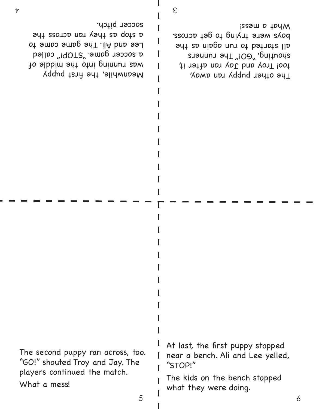The other puppy ran away, too! Troy and Jay ran after it, shouting, "GO!" The runners all started to run againts ila boys were trying to get across. What a mess!

Meanwhile, the first puppy to slbbim snt othi prinnma zow a soccer game. "STOP!" called Lee and Ali. The game came to and as they ran across the soccer pitch.

The second puppy ran across, too. "GO!" shouted Troy and Jay. The players continued the match. What a mess!

At last, the first puppy stopped near a bench. Ali and Lee yelled, "STOP!"

The kids on the bench stopped what they were doing.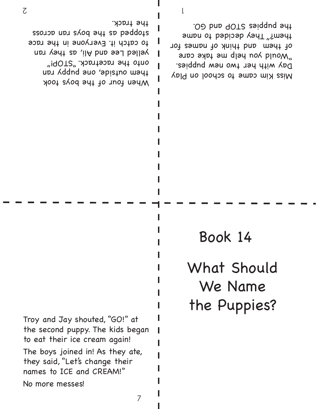"Would you help me take care of them and think of names for them?" They decided to name the puppies STOP and GO.

When four of the boys took them outside, one puppy ran onto the racetrack. "STOP!" yelled Lee and Ali, as they ran to catch it. Everyone in the race stopped as the boys ran across the track.

Book 14

Miss Kim came to school on Play Day with her two new puppies.

> What Should We Name the Puppies?

Troy and Jay shouted, "GO!" at the second puppy. The kids began to eat their ice cream again! The boys joined in! As they ate, they said, "Let's change their names to ICE and CREAM!" No more messes!

7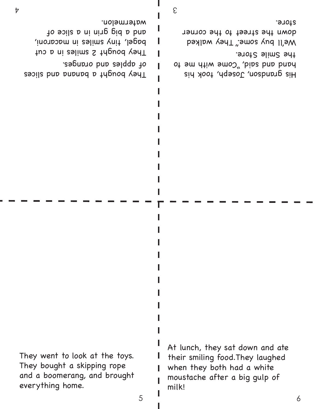They went to look at the toys. They bought a skipping rope and a boomerang, and brought everything home.

At lunch, they sat down and ate their smiling food.They laughed when they both had a white moustache after a big gulp of milk!

They bought a banana and slices of apples and oranges. They bought 2 smiles in a cut bagel, tiny smiles in macaroni, and a big din a big o pub

watermelon.

His grandson, Joseph, took his ot sm dtiw smo<sup>2</sup> bips bnp bnpd the Smile Store.

We'll buy some." They walked down the street to the corner store.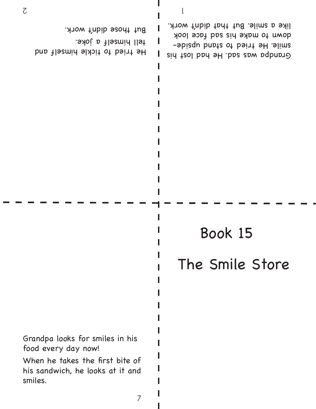Grandpa looks for smiles in his food every day now!

When he takes the first bite of his sandwich, he looks at it and smiles.

7

## The Smile Store

Book 15

Grandpa was sad. He had lost his smile. He tried to stand upsidedown to make his sad face look like a smile. But that didn't work.

He tried to tickle himself and tell himself a joke. But those didn't work.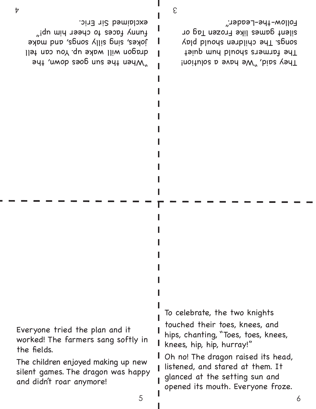They said, "We have a solution! The farmers should hum quiet souds Lys cylique shorid play silent games like Frozen Tag or Follow-the-Leader."

ay umop saob uns ay uay M. dragon will wake up. You can tell jokes, sing silly songs, and make funny faces to cheer him up!" exclaimed Sir Eric.

Everyone tried the plan and it worked! The farmers sang softly in the fields.

The children enjoyed making up new silent games. The dragon was happy and didn't roar anymore!

To celebrate, the two knights touched their toes, knees, and hips, chanting, "Toes, toes, knees, knees, hip, hip, hurray!"

Oh no! The dragon raised its head, listened, and stared at them. It glanced at the setting sun and opened its mouth. Everyone froze.

4 3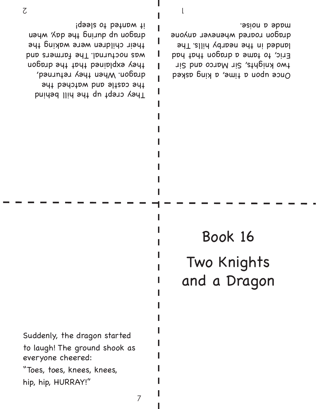to laugh! The ground shook as everyone cheered: "Toes, toes, knees, knees, hip, hip, HURRAY!"

Suddenly, the dragon started

7

Two Knights and a Dragon Book 16

They crept up the hill behind the castle and watched the dragon. When they returned, they explained that the dragon was nocturnal. The farmers and their children were waking the uaym ' $\chi$ pp ay the builthp dn uobplp it wanted to sleep!

Once upon a time, a king asked two knights, Sir Marco and Sir Eric, to tame a dragon that had landed in the nearby hills. The dragon roared whenever anyone made a noise.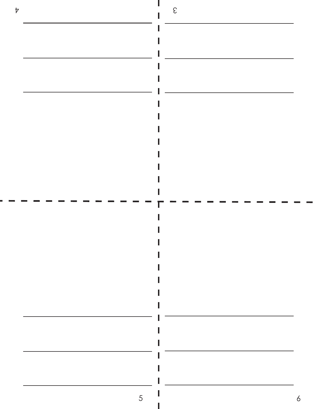| I<br>i<br>ë |
|-------------|